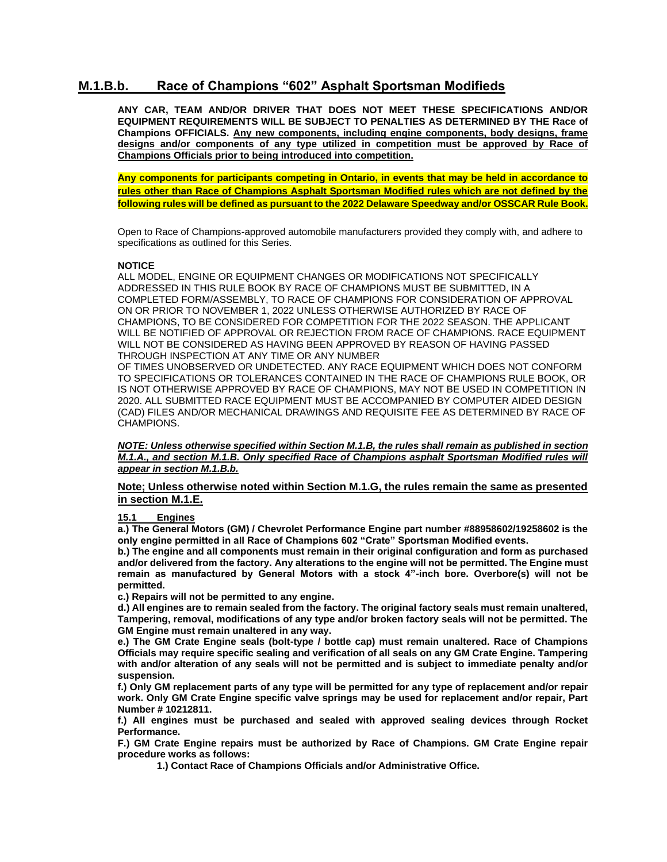# **M.1.B.b. Race of Champions "602" Asphalt Sportsman Modifieds**

**ANY CAR, TEAM AND/OR DRIVER THAT DOES NOT MEET THESE SPECIFICATIONS AND/OR EQUIPMENT REQUIREMENTS WILL BE SUBJECT TO PENALTIES AS DETERMINED BY THE Race of Champions OFFICIALS. Any new components, including engine components, body designs, frame designs and/or components of any type utilized in competition must be approved by Race of Champions Officials prior to being introduced into competition.**

**Any components for participants competing in Ontario, in events that may be held in accordance to rules other than Race of Champions Asphalt Sportsman Modified rules which are not defined by the following rules will be defined as pursuant to the 2022 Delaware Speedway and/or OSSCAR Rule Book.**

Open to Race of Champions-approved automobile manufacturers provided they comply with, and adhere to specifications as outlined for this Series.

## **NOTICE**

ALL MODEL, ENGINE OR EQUIPMENT CHANGES OR MODIFICATIONS NOT SPECIFICALLY ADDRESSED IN THIS RULE BOOK BY RACE OF CHAMPIONS MUST BE SUBMITTED, IN A COMPLETED FORM/ASSEMBLY, TO RACE OF CHAMPIONS FOR CONSIDERATION OF APPROVAL ON OR PRIOR TO NOVEMBER 1, 2022 UNLESS OTHERWISE AUTHORIZED BY RACE OF CHAMPIONS, TO BE CONSIDERED FOR COMPETITION FOR THE 2022 SEASON. THE APPLICANT WILL BE NOTIFIED OF APPROVAL OR REJECTION FROM RACE OF CHAMPIONS. RACE EQUIPMENT WILL NOT BE CONSIDERED AS HAVING BEEN APPROVED BY REASON OF HAVING PASSED THROUGH INSPECTION AT ANY TIME OR ANY NUMBER

OF TIMES UNOBSERVED OR UNDETECTED. ANY RACE EQUIPMENT WHICH DOES NOT CONFORM TO SPECIFICATIONS OR TOLERANCES CONTAINED IN THE RACE OF CHAMPIONS RULE BOOK, OR IS NOT OTHERWISE APPROVED BY RACE OF CHAMPIONS, MAY NOT BE USED IN COMPETITION IN 2020. ALL SUBMITTED RACE EQUIPMENT MUST BE ACCOMPANIED BY COMPUTER AIDED DESIGN (CAD) FILES AND/OR MECHANICAL DRAWINGS AND REQUISITE FEE AS DETERMINED BY RACE OF CHAMPIONS.

*NOTE: Unless otherwise specified within Section M.1.B, the rules shall remain as published in section M.1.A., and section M.1.B. Only specified Race of Champions asphalt Sportsman Modified rules will appear in section M.1.B.b.*

**Note; Unless otherwise noted within Section M.1.G, the rules remain the same as presented in section M.1.E.**

## **15.1 Engines**

**a.) The General Motors (GM) / Chevrolet Performance Engine part number #88958602/19258602 is the only engine permitted in all Race of Champions 602 "Crate" Sportsman Modified events.**

**b.) The engine and all components must remain in their original configuration and form as purchased and/or delivered from the factory. Any alterations to the engine will not be permitted. The Engine must remain as manufactured by General Motors with a stock 4"-inch bore. Overbore(s) will not be permitted.**

**c.) Repairs will not be permitted to any engine.**

**d.) All engines are to remain sealed from the factory. The original factory seals must remain unaltered, Tampering, removal, modifications of any type and/or broken factory seals will not be permitted. The GM Engine must remain unaltered in any way.**

**e.) The GM Crate Engine seals (bolt-type / bottle cap) must remain unaltered. Race of Champions Officials may require specific sealing and verification of all seals on any GM Crate Engine. Tampering with and/or alteration of any seals will not be permitted and is subject to immediate penalty and/or suspension.**

**f.) Only GM replacement parts of any type will be permitted for any type of replacement and/or repair work. Only GM Crate Engine specific valve springs may be used for replacement and/or repair, Part Number # 10212811.**

**f.) All engines must be purchased and sealed with approved sealing devices through Rocket Performance.**

**F.) GM Crate Engine repairs must be authorized by Race of Champions. GM Crate Engine repair procedure works as follows:**

**1.) Contact Race of Champions Officials and/or Administrative Office.**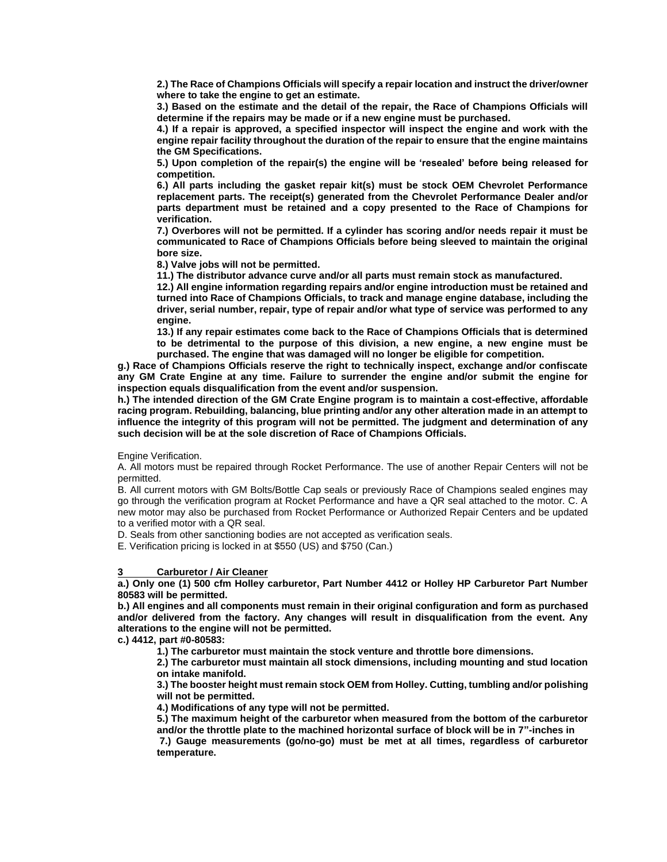**2.) The Race of Champions Officials will specify a repair location and instruct the driver/owner where to take the engine to get an estimate.**

**3.) Based on the estimate and the detail of the repair, the Race of Champions Officials will determine if the repairs may be made or if a new engine must be purchased.**

**4.) If a repair is approved, a specified inspector will inspect the engine and work with the engine repair facility throughout the duration of the repair to ensure that the engine maintains the GM Specifications.**

**5.) Upon completion of the repair(s) the engine will be 'resealed' before being released for competition.**

**6.) All parts including the gasket repair kit(s) must be stock OEM Chevrolet Performance replacement parts. The receipt(s) generated from the Chevrolet Performance Dealer and/or parts department must be retained and a copy presented to the Race of Champions for verification.**

**7.) Overbores will not be permitted. If a cylinder has scoring and/or needs repair it must be communicated to Race of Champions Officials before being sleeved to maintain the original bore size.**

**8.) Valve jobs will not be permitted.**

**11.) The distributor advance curve and/or all parts must remain stock as manufactured.**

**12.) All engine information regarding repairs and/or engine introduction must be retained and turned into Race of Champions Officials, to track and manage engine database, including the driver, serial number, repair, type of repair and/or what type of service was performed to any engine.**

**13.) If any repair estimates come back to the Race of Champions Officials that is determined to be detrimental to the purpose of this division, a new engine, a new engine must be purchased. The engine that was damaged will no longer be eligible for competition.**

**g.) Race of Champions Officials reserve the right to technically inspect, exchange and/or confiscate any GM Crate Engine at any time. Failure to surrender the engine and/or submit the engine for inspection equals disqualification from the event and/or suspension.**

**h.) The intended direction of the GM Crate Engine program is to maintain a cost-effective, affordable racing program. Rebuilding, balancing, blue printing and/or any other alteration made in an attempt to influence the integrity of this program will not be permitted. The judgment and determination of any such decision will be at the sole discretion of Race of Champions Officials.**

Engine Verification.

A. All motors must be repaired through Rocket Performance. The use of another Repair Centers will not be permitted.

B. All current motors with GM Bolts/Bottle Cap seals or previously Race of Champions sealed engines may go through the verification program at Rocket Performance and have a QR seal attached to the motor. C. A new motor may also be purchased from Rocket Performance or Authorized Repair Centers and be updated to a verified motor with a QR seal.

D. Seals from other sanctioning bodies are not accepted as verification seals.

E. Verification pricing is locked in at \$550 (US) and \$750 (Can.)

## **3 Carburetor / Air Cleaner**

**a.) Only one (1) 500 cfm Holley carburetor, Part Number 4412 or Holley HP Carburetor Part Number 80583 will be permitted.**

**b.) All engines and all components must remain in their original configuration and form as purchased and/or delivered from the factory. Any changes will result in disqualification from the event. Any alterations to the engine will not be permitted.**

**c.) 4412, part #0-80583:**

**1.) The carburetor must maintain the stock venture and throttle bore dimensions.** 

**2.) The carburetor must maintain all stock dimensions, including mounting and stud location on intake manifold.**

**3.) The booster height must remain stock OEM from Holley. Cutting, tumbling and/or polishing will not be permitted.**

**4.) Modifications of any type will not be permitted.**

**5.) The maximum height of the carburetor when measured from the bottom of the carburetor and/or the throttle plate to the machined horizontal surface of block will be in 7"-inches in** 

**7.) Gauge measurements (go/no-go) must be met at all times, regardless of carburetor temperature.**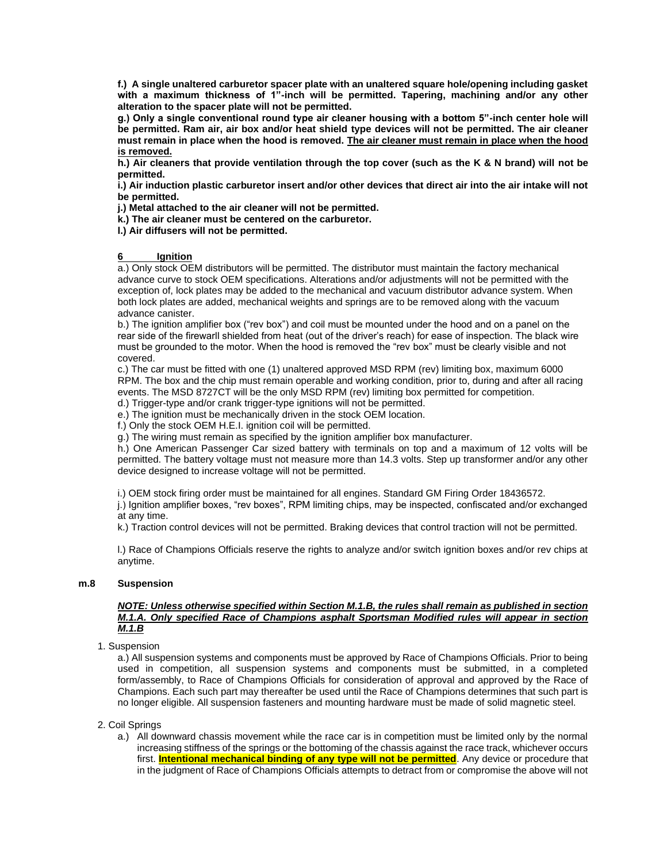**f.) A single unaltered carburetor spacer plate with an unaltered square hole/opening including gasket with a maximum thickness of 1"-inch will be permitted. Tapering, machining and/or any other alteration to the spacer plate will not be permitted.**

**g.) Only a single conventional round type air cleaner housing with a bottom 5"-inch center hole will be permitted. Ram air, air box and/or heat shield type devices will not be permitted. The air cleaner must remain in place when the hood is removed. The air cleaner must remain in place when the hood is removed.**

**h.) Air cleaners that provide ventilation through the top cover (such as the K & N brand) will not be permitted.**

**i.) Air induction plastic carburetor insert and/or other devices that direct air into the air intake will not be permitted.** 

**j.) Metal attached to the air cleaner will not be permitted.**

**k.) The air cleaner must be centered on the carburetor.**

**l.) Air diffusers will not be permitted.**

#### **6 Ignition**

a.) Only stock OEM distributors will be permitted. The distributor must maintain the factory mechanical advance curve to stock OEM specifications. Alterations and/or adjustments will not be permitted with the exception of, lock plates may be added to the mechanical and vacuum distributor advance system. When both lock plates are added, mechanical weights and springs are to be removed along with the vacuum advance canister.

b.) The ignition amplifier box ("rev box") and coil must be mounted under the hood and on a panel on the rear side of the firewarll shielded from heat (out of the driver's reach) for ease of inspection. The black wire must be grounded to the motor. When the hood is removed the "rev box" must be clearly visible and not covered.

c.) The car must be fitted with one (1) unaltered approved MSD RPM (rev) limiting box, maximum 6000 RPM. The box and the chip must remain operable and working condition, prior to, during and after all racing events. The MSD 8727CT will be the only MSD RPM (rev) limiting box permitted for competition.

d.) Trigger-type and/or crank trigger-type ignitions will not be permitted.

e.) The ignition must be mechanically driven in the stock OEM location.

f.) Only the stock OEM H.E.I. ignition coil will be permitted.

g.) The wiring must remain as specified by the ignition amplifier box manufacturer.

h.) One American Passenger Car sized battery with terminals on top and a maximum of 12 volts will be permitted. The battery voltage must not measure more than 14.3 volts. Step up transformer and/or any other device designed to increase voltage will not be permitted.

i.) OEM stock firing order must be maintained for all engines. Standard GM Firing Order 18436572.

j.) Ignition amplifier boxes, "rev boxes", RPM limiting chips, may be inspected, confiscated and/or exchanged at any time.

k.) Traction control devices will not be permitted. Braking devices that control traction will not be permitted.

l.) Race of Champions Officials reserve the rights to analyze and/or switch ignition boxes and/or rev chips at anytime.

## **m.8 Suspension**

### *NOTE: Unless otherwise specified within Section M.1.B, the rules shall remain as published in section M.1.A. Only specified Race of Champions asphalt Sportsman Modified rules will appear in section M.1.B*

## 1. Suspension

a.) All suspension systems and components must be approved by Race of Champions Officials. Prior to being used in competition, all suspension systems and components must be submitted, in a completed form/assembly, to Race of Champions Officials for consideration of approval and approved by the Race of Champions. Each such part may thereafter be used until the Race of Champions determines that such part is no longer eligible. All suspension fasteners and mounting hardware must be made of solid magnetic steel.

2. Coil Springs

a.) All downward chassis movement while the race car is in competition must be limited only by the normal increasing stiffness of the springs or the bottoming of the chassis against the race track, whichever occurs first. **Intentional mechanical binding of any type will not be permitted**. Any device or procedure that in the judgment of Race of Champions Officials attempts to detract from or compromise the above will not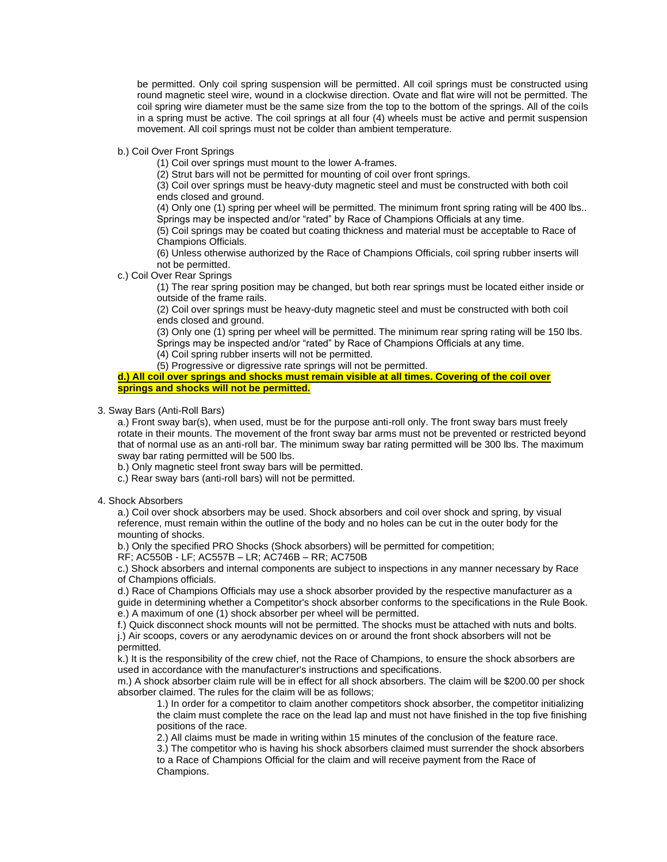be permitted. Only coil spring suspension will be permitted. All coil springs must be constructed using round magnetic steel wire, wound in a clockwise direction. Ovate and flat wire will not be permitted. The coil spring wire diameter must be the same size from the top to the bottom of the springs. All of the coils in a spring must be active. The coil springs at all four (4) wheels must be active and permit suspension movement. All coil springs must not be colder than ambient temperature.

b.) Coil Over Front Springs

(1) Coil over springs must mount to the lower A-frames.

(2) Strut bars will not be permitted for mounting of coil over front springs.

(3) Coil over springs must be heavy-duty magnetic steel and must be constructed with both coil ends closed and ground.

(4) Only one (1) spring per wheel will be permitted. The minimum front spring rating will be 400 lbs.. Springs may be inspected and/or "rated" by Race of Champions Officials at any time.

(5) Coil springs may be coated but coating thickness and material must be acceptable to Race of Champions Officials.

(6) Unless otherwise authorized by the Race of Champions Officials, coil spring rubber inserts will not be permitted.

c.) Coil Over Rear Springs

(1) The rear spring position may be changed, but both rear springs must be located either inside or outside of the frame rails.

(2) Coil over springs must be heavy-duty magnetic steel and must be constructed with both coil ends closed and ground.

(3) Only one (1) spring per wheel will be permitted. The minimum rear spring rating will be 150 lbs. Springs may be inspected and/or "rated" by Race of Champions Officials at any time.

(4) Coil spring rubber inserts will not be permitted.

(5) Progressive or digressive rate springs will not be permitted.

**d.) All coil over springs and shocks must remain visible at all times. Covering of the coil over springs and shocks will not be permitted.**

3. Sway Bars (Anti-Roll Bars)

a.) Front sway bar(s), when used, must be for the purpose anti-roll only. The front sway bars must freely rotate in their mounts. The movement of the front sway bar arms must not be prevented or restricted beyond that of normal use as an anti-roll bar. The minimum sway bar rating permitted will be 300 lbs. The maximum sway bar rating permitted will be 500 lbs.

b.) Only magnetic steel front sway bars will be permitted.

c.) Rear sway bars (anti-roll bars) will not be permitted.

4. Shock Absorbers

a.) Coil over shock absorbers may be used. Shock absorbers and coil over shock and spring, by visual reference, must remain within the outline of the body and no holes can be cut in the outer body for the mounting of shocks.

b.) Only the specified PRO Shocks (Shock absorbers) will be permitted for competition;

RF; AC550B - LF; AC557B – LR; AC746B – RR; AC750B

c.) Shock absorbers and internal components are subject to inspections in any manner necessary by Race of Champions officials.

d.) Race of Champions Officials may use a shock absorber provided by the respective manufacturer as a guide in determining whether a Competitor's shock absorber conforms to the specifications in the Rule Book. e.) A maximum of one (1) shock absorber per wheel will be permitted.

f.) Quick disconnect shock mounts will not be permitted. The shocks must be attached with nuts and bolts. j.) Air scoops, covers or any aerodynamic devices on or around the front shock absorbers will not be permitted.

k.) It is the responsibility of the crew chief, not the Race of Champions, to ensure the shock absorbers are used in accordance with the manufacturer's instructions and specifications.

m.) A shock absorber claim rule will be in effect for all shock absorbers. The claim will be \$200.00 per shock absorber claimed. The rules for the claim will be as follows;

1.) In order for a competitor to claim another competitors shock absorber, the competitor initializing the claim must complete the race on the lead lap and must not have finished in the top five finishing positions of the race.

2.) All claims must be made in writing within 15 minutes of the conclusion of the feature race.

3.) The competitor who is having his shock absorbers claimed must surrender the shock absorbers to a Race of Champions Official for the claim and will receive payment from the Race of Champions.